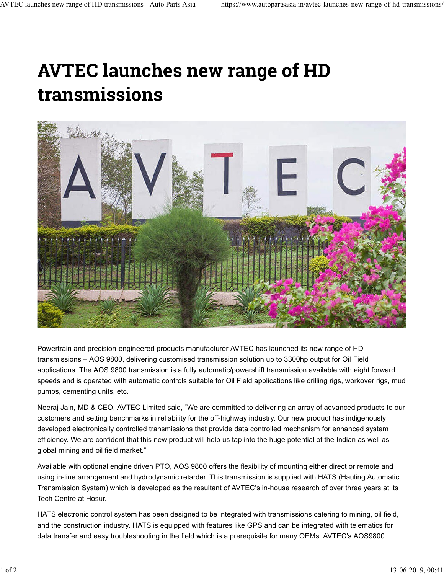## **AVTEC launches new range of HD** transmissions



Powertrain and precision-engineered products manufacturer AVTEC has launched its new range of HD transmissions – AOS 9800, delivering customised transmission solution up to 3300hp output for Oil Field applications. The AOS 9800 transmission is a fully automatic/powershift transmission available with eight forward speeds and is operated with automatic controls suitable for Oil Field applications like drilling rigs, workover rigs, mud pumps, cementing units, etc.

Neeraj Jain, MD & CEO, AVTEC Limited said, "We are committed to delivering an array of advanced products to our customers and setting benchmarks in reliability for the off-highway industry. Our new product has indigenously developed electronically controlled transmissions that provide data controlled mechanism for enhanced system efficiency. We are confident that this new product will help us tap into the huge potential of the Indian as well as global mining and oil field market."

Available with optional engine driven PTO, AOS 9800 offers the flexibility of mounting either direct or remote and using in-line arrangement and hydrodynamic retarder. This transmission is supplied with HATS (Hauling Automatic Transmission System) which is developed as the resultant of AVTEC's in-house research of over three years at its Tech Centre at Hosur.

HATS electronic control system has been designed to be integrated with transmissions catering to mining, oil field, and the construction industry. HATS is equipped with features like GPS and can be integrated with telematics for data transfer and easy troubleshooting in the field which is a prerequisite for many OEMs. AVTEC's AOS9800